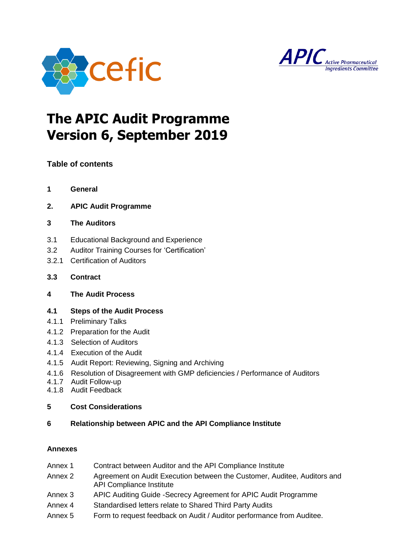



# **The APIC Audit Programme Version 6, September 2019**

# **Table of contents**

- **1 General**
- **2. APIC Audit Programme**

# **3 The Auditors**

- 3.1 Educational Background and Experience
- 3.2 Auditor Training Courses for 'Certification'
- 3.2.1 Certification of Auditors
- **3.3 Contract**
- **4 The Audit Process**

# **4.1 Steps of the Audit Process**

- 4.1.1 Preliminary Talks
- 4.1.2 Preparation for the Audit
- 4.1.3 Selection of Auditors
- 4.1.4 Execution of the Audit
- 4.1.5 Audit Report: Reviewing, Signing and Archiving
- 4.1.6 Resolution of Disagreement with GMP deficiencies / Performance of Auditors
- 4.1.7 Audit Follow-up
- 4.1.8 Audit Feedback

## **5 Cost Considerations**

## **6 Relationship between APIC and the API Compliance Institute**

## **Annexes**

- Annex 1 Contract between Auditor and the API Compliance Institute
- Annex 2 Agreement on Audit Execution between the Customer, Auditee, Auditors and API Compliance Institute
- Annex 3 APIC Auditing Guide -Secrecy Agreement for APIC Audit Programme
- Annex 4 Standardised letters relate to Shared Third Party Audits
- Annex 5 Form to request feedback on Audit / Auditor performance from Auditee.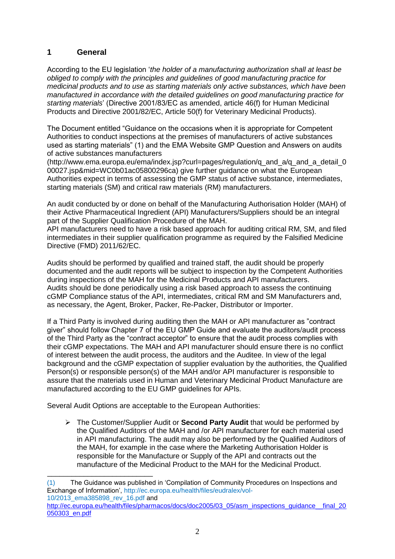# **1 General**

According to the EU legislation '*the holder of a manufacturing authorization shall at least be obliged to comply with the principles and guidelines of good manufacturing practice for medicinal products and to use as starting materials only active substances, which have been manufactured in accordance with the detailed guidelines on good manufacturing practice for starting materials*' (Directive 2001/83/EC as amended, article 46(f) for Human Medicinal Products and Directive 2001/82/EC, Article 50(f) for Veterinary Medicinal Products).

The Document entitled "Guidance on the occasions when it is appropriate for Competent Authorities to conduct inspections at the premises of manufacturers of active substances used as starting materials" (1) and the EMA Website GMP Question and Answers on audits of active substances manufacturers

(http://www.ema.europa.eu/ema/index.jsp?curl=pages/regulation/q\_and\_a/q\_and\_a\_detail\_0 00027.jsp&mid=WC0b01ac05800296ca) give further guidance on what the European Authorities expect in terms of assessing the GMP status of active substance, intermediates, starting materials (SM) and critical raw materials (RM) manufacturers.

An audit conducted by or done on behalf of the Manufacturing Authorisation Holder (MAH) of their Active Pharmaceutical Ingredient (API) Manufacturers/Suppliers should be an integral part of the Supplier Qualification Procedure of the MAH.

API manufacturers need to have a risk based approach for auditing critical RM, SM, and filed intermediates in their supplier qualification programme as required by the Falsified Medicine Directive (FMD) 2011/62/EC.

Audits should be performed by qualified and trained staff, the audit should be properly documented and the audit reports will be subject to inspection by the Competent Authorities during inspections of the MAH for the Medicinal Products and API manufacturers. Audits should be done periodically using a risk based approach to assess the continuing cGMP Compliance status of the API, intermediates, critical RM and SM Manufacturers and, as necessary, the Agent, Broker, Packer, Re-Packer, Distributor or Importer.

If a Third Party is involved during auditing then the MAH or API manufacturer as "contract giver" should follow Chapter 7 of the EU GMP Guide and evaluate the auditors/audit process of the Third Party as the "contract acceptor" to ensure that the audit process complies with their cGMP expectations. The MAH and API manufacturer should ensure there is no conflict of interest between the audit process, the auditors and the Auditee. In view of the legal background and the cGMP expectation of supplier evaluation by the authorities, the Qualified Person(s) or responsible person(s) of the MAH and/or API manufacturer is responsible to assure that the materials used in Human and Veterinary Medicinal Product Manufacture are manufactured according to the EU GMP guidelines for APIs.

Several Audit Options are acceptable to the European Authorities:

\_\_\_\_\_\_\_\_\_\_\_\_\_\_\_\_\_\_\_\_\_\_\_\_\_\_

 The Customer/Supplier Audit or **Second Party Audit** that would be performed by the Qualified Auditors of the MAH and /or API manufacturer for each material used in API manufacturing. The audit may also be performed by the Qualified Auditors of the MAH, for example in the case where the Marketing Authorisation Holder is responsible for the Manufacture or Supply of the API and contracts out the manufacture of the Medicinal Product to the MAH for the Medicinal Product.

<sup>(1)</sup> The Guidance was published in 'Compilation of Community Procedures on Inspections and Exchange of Information', http://ec.europa.eu/health/files/eudralex/vol-10/2013\_ema385898\_rev\_16.pdf and

[http://ec.europa.eu/health/files/pharmacos/docs/doc2005/03\\_05/asm\\_inspections\\_guidance\\_\\_final\\_20](http://ec.europa.eu/health/files/pharmacos/docs/doc2005/03_05/asm_inspections_guidance__final_20050303_en.pdf) [050303\\_en.pdf](http://ec.europa.eu/health/files/pharmacos/docs/doc2005/03_05/asm_inspections_guidance__final_20050303_en.pdf)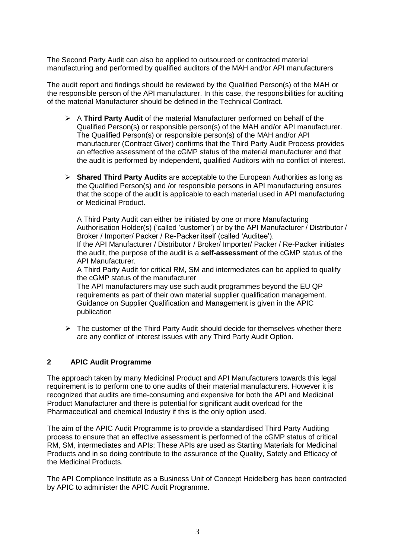The Second Party Audit can also be applied to outsourced or contracted material manufacturing and performed by qualified auditors of the MAH and/or API manufacturers

The audit report and findings should be reviewed by the Qualified Person(s) of the MAH or the responsible person of the API manufacturer. In this case, the responsibilities for auditing of the material Manufacturer should be defined in the Technical Contract.

- A **Third Party Audit** of the material Manufacturer performed on behalf of the Qualified Person(s) or responsible person(s) of the MAH and/or API manufacturer. The Qualified Person(s) or responsible person(s) of the MAH and/or API manufacturer (Contract Giver) confirms that the Third Party Audit Process provides an effective assessment of the cGMP status of the material manufacturer and that the audit is performed by independent, qualified Auditors with no conflict of interest.
- **Shared Third Party Audits** are acceptable to the European Authorities as long as the Qualified Person(s) and /or responsible persons in API manufacturing ensures that the scope of the audit is applicable to each material used in API manufacturing or Medicinal Product.

A Third Party Audit can either be initiated by one or more Manufacturing Authorisation Holder(s) ('called 'customer') or by the API Manufacturer / Distributor / Broker / Importer/ Packer / Re-Packer itself (called 'Auditee').

If the API Manufacturer / Distributor / Broker/ Importer/ Packer / Re-Packer initiates the audit, the purpose of the audit is a **self-assessment** of the cGMP status of the API Manufacturer.

A Third Party Audit for critical RM, SM and intermediates can be applied to qualify the cGMP status of the manufacturer

The API manufacturers may use such audit programmes beyond the EU QP requirements as part of their own material supplier qualification management. Guidance on Supplier Qualification and Management is given in the APIC publication

 $\triangleright$  The customer of the Third Party Audit should decide for themselves whether there are any conflict of interest issues with any Third Party Audit Option.

# **2 APIC Audit Programme**

The approach taken by many Medicinal Product and API Manufacturers towards this legal requirement is to perform one to one audits of their material manufacturers. However it is recognized that audits are time-consuming and expensive for both the API and Medicinal Product Manufacturer and there is potential for significant audit overload for the Pharmaceutical and chemical Industry if this is the only option used.

The aim of the APIC Audit Programme is to provide a standardised Third Party Auditing process to ensure that an effective assessment is performed of the cGMP status of critical RM, SM, intermediates and APIs; These APIs are used as Starting Materials for Medicinal Products and in so doing contribute to the assurance of the Quality, Safety and Efficacy of the Medicinal Products.

The API Compliance Institute as a Business Unit of Concept Heidelberg has been contracted by APIC to administer the APIC Audit Programme.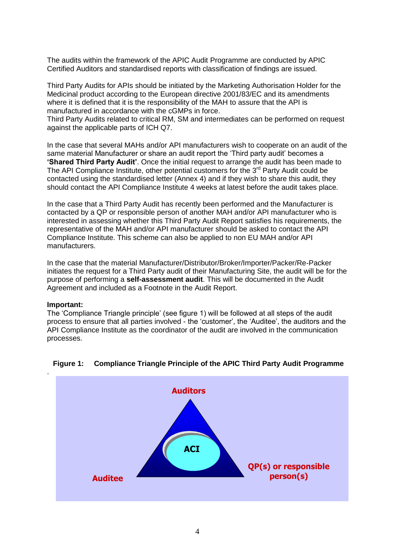The audits within the framework of the APIC Audit Programme are conducted by APIC Certified Auditors and standardised reports with classification of findings are issued.

Third Party Audits for APIs should be initiated by the Marketing Authorisation Holder for the Medicinal product according to the European directive 2001/83/EC and its amendments where it is defined that it is the responsibility of the MAH to assure that the API is manufactured in accordance with the cGMPs in force.

Third Party Audits related to critical RM, SM and intermediates can be performed on request against the applicable parts of ICH Q7.

In the case that several MAHs and/or API manufacturers wish to cooperate on an audit of the same material Manufacturer or share an audit report the 'Third party audit' becomes a **'Shared Third Party Audit'**. Once the initial request to arrange the audit has been made to The API Compliance Institute, other potential customers for the  $3<sup>rd</sup>$  Party Audit could be contacted using the standardised letter (Annex 4) and if they wish to share this audit, they should contact the API Compliance Institute 4 weeks at latest before the audit takes place.

In the case that a Third Party Audit has recently been performed and the Manufacturer is contacted by a QP or responsible person of another MAH and/or API manufacturer who is interested in assessing whether this Third Party Audit Report satisfies his requirements, the representative of the MAH and/or API manufacturer should be asked to contact the API Compliance Institute. This scheme can also be applied to non EU MAH and/or API manufacturers.

In the case that the material Manufacturer/Distributor/Broker/Importer/Packer/Re-Packer initiates the request for a Third Party audit of their Manufacturing Site, the audit will be for the purpose of performing a **self-assessment audit**. This will be documented in the Audit Agreement and included as a Footnote in the Audit Report.

#### **Important:**

The 'Compliance Triangle principle' (see figure 1) will be followed at all steps of the audit process to ensure that all parties involved - the 'customer', the 'Auditee', the auditors and the API Compliance Institute as the coordinator of the audit are involved in the communication processes.



#### **Figure 1: Compliance Triangle Principle of the APIC Third Party Audit Programme**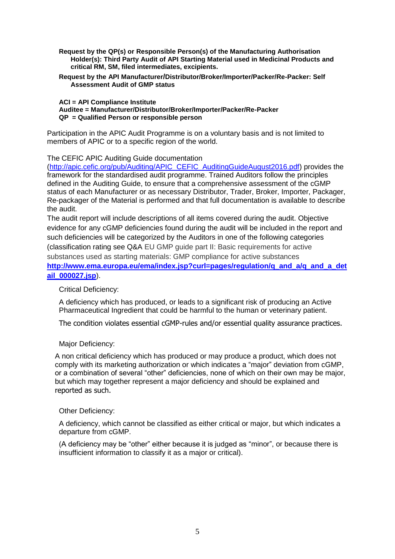- **Request by the QP(s) or Responsible Person(s) of the Manufacturing Authorisation Holder(s): Third Party Audit of API Starting Material used in Medicinal Products and critical RM, SM, filed intermediates, excipients.**
- **Request by the API Manufacturer/Distributor/Broker/Importer/Packer/Re-Packer: Self Assessment Audit of GMP status**

#### **ACI = API Compliance Institute Auditee = Manufacturer/Distributor/Broker/Importer/Packer/Re-Packer QP = Qualified Person or responsible person**

Participation in the APIC Audit Programme is on a voluntary basis and is not limited to members of APIC or to a specific region of the world.

## The CEFIC APIC Auditing Guide documentation

[\(http://apic.cefic.org/pub/Auditing/APIC\\_CEFIC\\_AuditingGuideAugust2016.pdf\)](http://apic.cefic.org/pub/Auditing/APIC_CEFIC_AuditingGuideAugust2016.pdf) provides the framework for the standardised audit programme. Trained Auditors follow the principles defined in the Auditing Guide, to ensure that a comprehensive assessment of the cGMP status of each Manufacturer or as necessary Distributor, Trader, Broker, Importer, Packager, Re-packager of the Material is performed and that full documentation is available to describe the audit.

The audit report will include descriptions of all items covered during the audit. Objective evidence for any cGMP deficiencies found during the audit will be included in the report and such deficiencies will be categorized by the Auditors in one of the following categories (classification rating see Q&A EU GMP guide part II: Basic requirements for active substances used as starting materials: GMP compliance for active substances **[http://www.ema.europa.eu/ema/index.jsp?curl=pages/regulation/q\\_and\\_a/q\\_and\\_a\\_det](http://www.ema.europa.eu/ema/index.jsp?curl=pages/regulation/q_and_a/q_and_a_detail_000027.jsp)**

#### **[ail\\_000027.jsp](http://www.ema.europa.eu/ema/index.jsp?curl=pages/regulation/q_and_a/q_and_a_detail_000027.jsp)**).

## Critical Deficiency:

A deficiency which has produced, or leads to a significant risk of producing an Active Pharmaceutical Ingredient that could be harmful to the human or veterinary patient.

The condition violates essential cGMP-rules and/or essential quality assurance practices.

## Major Deficiency:

A non critical deficiency which has produced or may produce a product, which does not comply with its marketing authorization or which indicates a "major" deviation from cGMP, or a combination of several "other" deficiencies, none of which on their own may be major, but which may together represent a major deficiency and should be explained and reported as such.

#### Other Deficiency:

A deficiency, which cannot be classified as either critical or major, but which indicates a departure from cGMP.

(A deficiency may be "other" either because it is judged as "minor", or because there is insufficient information to classify it as a major or critical).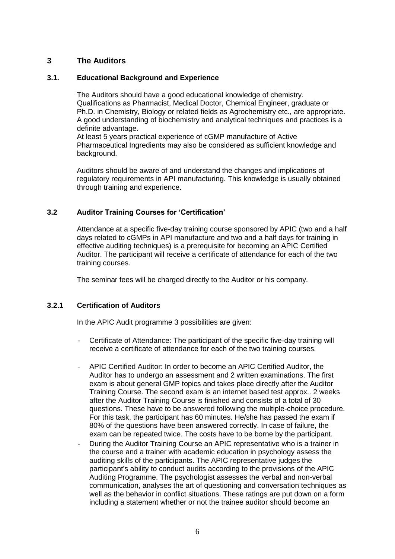# **3 The Auditors**

## **3.1. Educational Background and Experience**

The Auditors should have a good educational knowledge of chemistry. Qualifications as Pharmacist, Medical Doctor, Chemical Engineer, graduate or Ph.D. in Chemistry, Biology or related fields as Agrochemistry etc., are appropriate. A good understanding of biochemistry and analytical techniques and practices is a definite advantage.

At least 5 years practical experience of cGMP manufacture of Active Pharmaceutical Ingredients may also be considered as sufficient knowledge and background.

Auditors should be aware of and understand the changes and implications of regulatory requirements in API manufacturing. This knowledge is usually obtained through training and experience.

## **3.2 Auditor Training Courses for 'Certification'**

Attendance at a specific five-day training course sponsored by APIC (two and a half days related to cGMPs in API manufacture and two and a half days for training in effective auditing techniques) is a prerequisite for becoming an APIC Certified Auditor. The participant will receive a certificate of attendance for each of the two training courses.

The seminar fees will be charged directly to the Auditor or his company.

## **3.2.1 Certification of Auditors**

In the APIC Audit programme 3 possibilities are given:

- Certificate of Attendance: The participant of the specific five-day training will receive a certificate of attendance for each of the two training courses.
- APIC Certified Auditor: In order to become an APIC Certified Auditor, the Auditor has to undergo an assessment and 2 written examinations. The first exam is about general GMP topics and takes place directly after the Auditor Training Course. The second exam is an internet based test approx.. 2 weeks after the Auditor Training Course is finished and consists of a total of 30 questions. These have to be answered following the multiple-choice procedure. For this task, the participant has 60 minutes. He/she has passed the exam if 80% of the questions have been answered correctly. In case of failure, the exam can be repeated twice. The costs have to be borne by the participant.
- During the Auditor Training Course an APIC representative who is a trainer in the course and a trainer with academic education in psychology assess the auditing skills of the participants. The APIC representative judges the participant's ability to conduct audits according to the provisions of the APIC Auditing Programme. The psychologist assesses the verbal and non-verbal communication, analyses the art of questioning and conversation techniques as well as the behavior in conflict situations. These ratings are put down on a form including a statement whether or not the trainee auditor should become an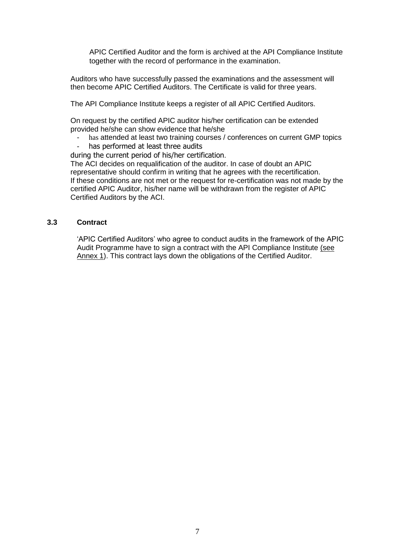APIC Certified Auditor and the form is archived at the API Compliance Institute together with the record of performance in the examination.

Auditors who have successfully passed the examinations and the assessment will then become APIC Certified Auditors. The Certificate is valid for three years.

The API Compliance Institute keeps a register of all APIC Certified Auditors.

On request by the certified APIC auditor his/her certification can be extended provided he/she can show evidence that he/she

- has attended at least two training courses / conferences on current GMP topics
- has performed at least three audits

during the current period of his/her certification.

The ACI decides on requalification of the auditor. In case of doubt an APIC representative should confirm in writing that he agrees with the recertification. If these conditions are not met or the request for re-certification was not made by the certified APIC Auditor, his/her name will be withdrawn from the register of APIC Certified Auditors by the ACI.

## **3.3 Contract**

'APIC Certified Auditors' who agree to conduct audits in the framework of the APIC Audit Programme have to sign a contract with the API Compliance Institute (see Annex 1). This contract lays down the obligations of the Certified Auditor.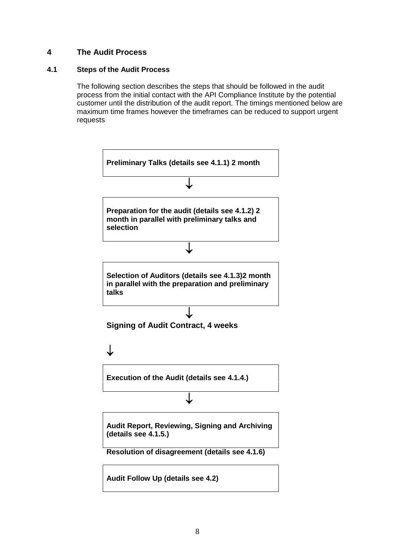# **4 The Audit Process**

## **4.1 Steps of the Audit Process**

The following section describes the steps that should be followed in the audit process from the initial contact with the API Compliance Institute by the potential customer until the distribution of the audit report. The timings mentioned below are maximum time frames however the timeframes can be reduced to support urgent requests

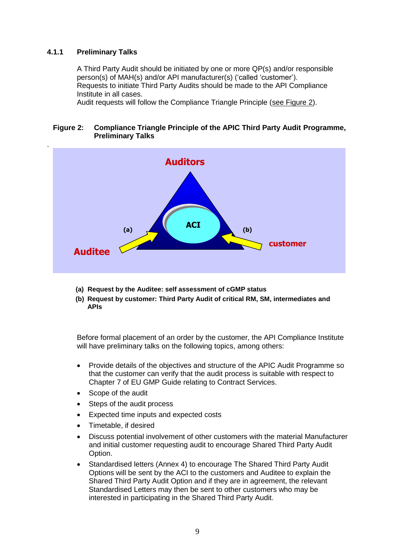## **4.1.1 Preliminary Talks**

A Third Party Audit should be initiated by one or more QP(s) and/or responsible person(s) of MAH(s) and/or API manufacturer(s) ('called 'customer'). Requests to initiate Third Party Audits should be made to the API Compliance Institute in all cases.

Audit requests will follow the Compliance Triangle Principle (see Figure 2).

#### **Figure 2: Compliance Triangle Principle of the APIC Third Party Audit Programme, Preliminary Talks**



- **(a) Request by the Auditee: self assessment of cGMP status**
- **(b) Request by customer: Third Party Audit of critical RM, SM, intermediates and APIs**

Before formal placement of an order by the customer, the API Compliance Institute will have preliminary talks on the following topics, among others:

- Provide details of the objectives and structure of the APIC Audit Programme so that the customer can verify that the audit process is suitable with respect to Chapter 7 of EU GMP Guide relating to Contract Services.
- Scope of the audit
- Steps of the audit process
- Expected time inputs and expected costs
- Timetable, if desired
- Discuss potential involvement of other customers with the material Manufacturer and initial customer requesting audit to encourage Shared Third Party Audit Option.
- Standardised letters (Annex 4) to encourage The Shared Third Party Audit Options will be sent by the ACI to the customers and Auditee to explain the Shared Third Party Audit Option and if they are in agreement, the relevant Standardised Letters may then be sent to other customers who may be interested in participating in the Shared Third Party Audit.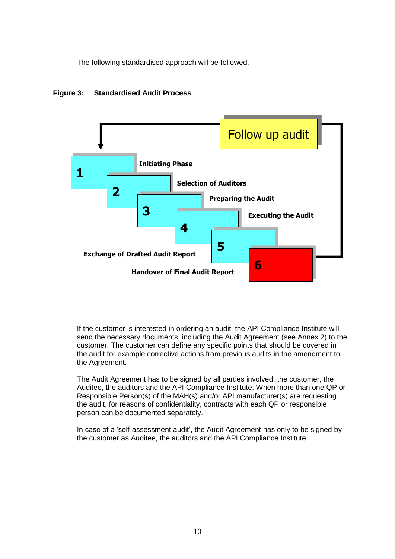The following standardised approach will be followed.



#### **Figure 3: Standardised Audit Process**

If the customer is interested in ordering an audit, the API Compliance Institute will send the necessary documents, including the Audit Agreement (see Annex 2) to the customer. The customer can define any specific points that should be covered in the audit for example corrective actions from previous audits in the amendment to the Agreement.

The Audit Agreement has to be signed by all parties involved, the customer, the Auditee, the auditors and the API Compliance Institute. When more than one QP or Responsible Person(s) of the MAH(s) and/or API manufacturer(s) are requesting the audit, for reasons of confidentiality, contracts with each QP or responsible person can be documented separately.

In case of a 'self-assessment audit', the Audit Agreement has only to be signed by the customer as Auditee, the auditors and the API Compliance Institute.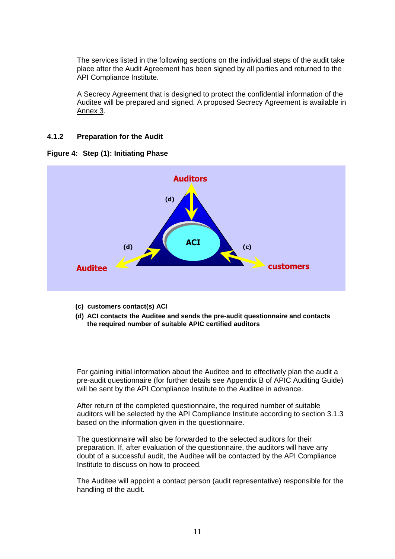The services listed in the following sections on the individual steps of the audit take place after the Audit Agreement has been signed by all parties and returned to the API Compliance Institute.

A Secrecy Agreement that is designed to protect the confidential information of the Auditee will be prepared and signed. A proposed Secrecy Agreement is available in Annex 3.

#### **4.1.2 Preparation for the Audit**





- **(c) customers contact(s) ACI**
- **(d) ACI contacts the Auditee and sends the pre-audit questionnaire and contacts the required number of suitable APIC certified auditors**

For gaining initial information about the Auditee and to effectively plan the audit a pre-audit questionnaire (for further details see Appendix B of APIC Auditing Guide) will be sent by the API Compliance Institute to the Auditee in advance.

After return of the completed questionnaire, the required number of suitable auditors will be selected by the API Compliance Institute according to section 3.1.3 based on the information given in the questionnaire.

The questionnaire will also be forwarded to the selected auditors for their preparation. If, after evaluation of the questionnaire, the auditors will have any doubt of a successful audit, the Auditee will be contacted by the API Compliance Institute to discuss on how to proceed.

The Auditee will appoint a contact person (audit representative) responsible for the handling of the audit.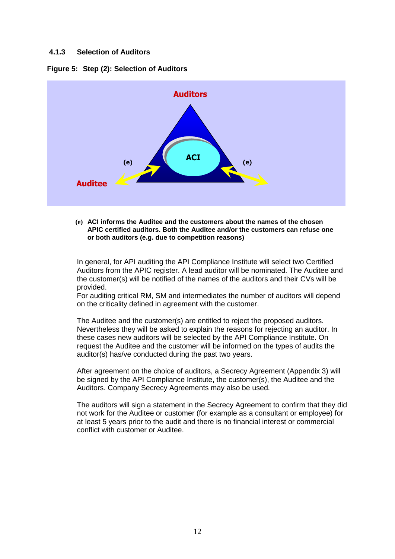## **4.1.3 Selection of Auditors**





#### **(e) ACI informs the Auditee and the customers about the names of the chosen APIC certified auditors. Both the Auditee and/or the customers can refuse one or both auditors (e.g. due to competition reasons)**

In general, for API auditing the API Compliance Institute will select two Certified Auditors from the APIC register. A lead auditor will be nominated. The Auditee and the customer(s) will be notified of the names of the auditors and their CVs will be provided.

For auditing critical RM, SM and intermediates the number of auditors will depend on the criticality defined in agreement with the customer.

The Auditee and the customer(s) are entitled to reject the proposed auditors. Nevertheless they will be asked to explain the reasons for rejecting an auditor. In these cases new auditors will be selected by the API Compliance Institute. On request the Auditee and the customer will be informed on the types of audits the auditor(s) has/ve conducted during the past two years.

After agreement on the choice of auditors, a Secrecy Agreement (Appendix 3) will be signed by the API Compliance Institute, the customer(s), the Auditee and the Auditors. Company Secrecy Agreements may also be used.

The auditors will sign a statement in the Secrecy Agreement to confirm that they did not work for the Auditee or customer (for example as a consultant or employee) for at least 5 years prior to the audit and there is no financial interest or commercial conflict with customer or Auditee.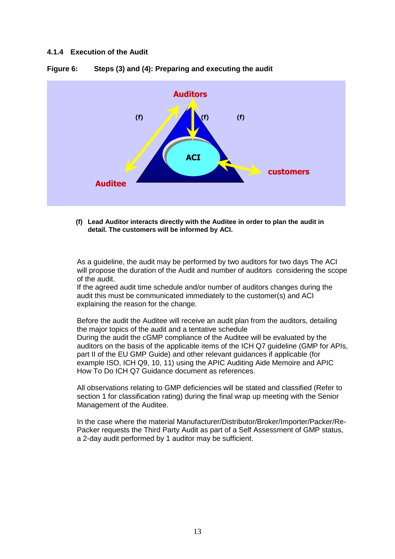#### **4.1.4 Execution of the Audit**



**Figure 6: Steps (3) and (4): Preparing and executing the audit**

**(f) Lead Auditor interacts directly with the Auditee in order to plan the audit in detail. The customers will be informed by ACI.**

As a guideline, the audit may be performed by two auditors for two days The ACI will propose the duration of the Audit and number of auditors considering the scope of the audit.

If the agreed audit time schedule and/or number of auditors changes during the audit this must be communicated immediately to the customer(s) and ACI explaining the reason for the change.

Before the audit the Auditee will receive an audit plan from the auditors, detailing the major topics of the audit and a tentative schedule During the audit the cGMP compliance of the Auditee will be evaluated by the auditors on the basis of the applicable items of the ICH Q7 guideline (GMP for APIs, part II of the EU GMP Guide) and other relevant guidances if applicable (for example ISO, ICH Q9, 10, 11) using the APIC Auditing Aide Memoire and APIC How To Do ICH Q7 Guidance document as references.

All observations relating to GMP deficiencies will be stated and classified (Refer to section 1 for classification rating) during the final wrap up meeting with the Senior Management of the Auditee.

In the case where the material Manufacturer/Distributor/Broker/Importer/Packer/Re-Packer requests the Third Party Audit as part of a Self Assessment of GMP status, a 2-day audit performed by 1 auditor may be sufficient.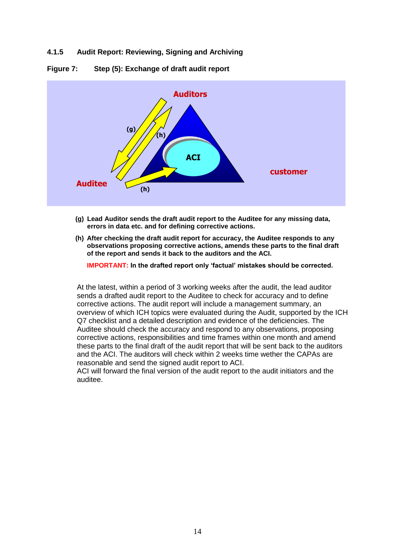## **4.1.5 Audit Report: Reviewing, Signing and Archiving**





- **(g) Lead Auditor sends the draft audit report to the Auditee for any missing data, errors in data etc. and for defining corrective actions.**
- **(h) After checking the draft audit report for accuracy, the Auditee responds to any observations proposing corrective actions, amends these parts to the final draft of the report and sends it back to the auditors and the ACI.**

**IMPORTANT: In the drafted report only 'factual' mistakes should be corrected.**

At the latest, within a period of 3 working weeks after the audit, the lead auditor sends a drafted audit report to the Auditee to check for accuracy and to define corrective actions. The audit report will include a management summary, an overview of which ICH topics were evaluated during the Audit, supported by the ICH Q7 checklist and a detailed description and evidence of the deficiencies. The Auditee should check the accuracy and respond to any observations, proposing corrective actions, responsibilities and time frames within one month and amend these parts to the final draft of the audit report that will be sent back to the auditors and the ACI. The auditors will check within 2 weeks time wether the CAPAs are reasonable and send the signed audit report to ACI.

ACI will forward the final version of the audit report to the audit initiators and the auditee.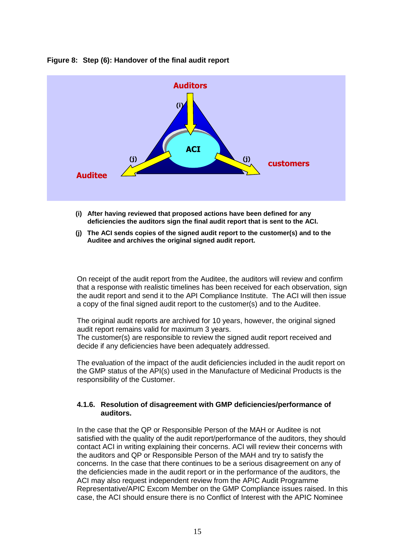#### **Figure 8: Step (6): Handover of the final audit report**



- **(i) After having reviewed that proposed actions have been defined for any deficiencies the auditors sign the final audit report that is sent to the ACI.**
- **(j) The ACI sends copies of the signed audit report to the customer(s) and to the Auditee and archives the original signed audit report.**

On receipt of the audit report from the Auditee, the auditors will review and confirm that a response with realistic timelines has been received for each observation, sign the audit report and send it to the API Compliance Institute. The ACI will then issue a copy of the final signed audit report to the customer(s) and to the Auditee.

The original audit reports are archived for 10 years, however, the original signed audit report remains valid for maximum 3 years. The customer(s) are responsible to review the signed audit report received and decide if any deficiencies have been adequately addressed.

The evaluation of the impact of the audit deficiencies included in the audit report on the GMP status of the API(s) used in the Manufacture of Medicinal Products is the responsibility of the Customer.

#### **4.1.6. Resolution of disagreement with GMP deficiencies/performance of auditors.**

In the case that the QP or Responsible Person of the MAH or Auditee is not satisfied with the quality of the audit report/performance of the auditors, they should contact ACI in writing explaining their concerns. ACI will review their concerns with the auditors and QP or Responsible Person of the MAH and try to satisfy the concerns. In the case that there continues to be a serious disagreement on any of the deficiencies made in the audit report or in the performance of the auditors, the ACI may also request independent review from the APIC Audit Programme Representative/APIC Excom Member on the GMP Compliance issues raised. In this case, the ACI should ensure there is no Conflict of Interest with the APIC Nominee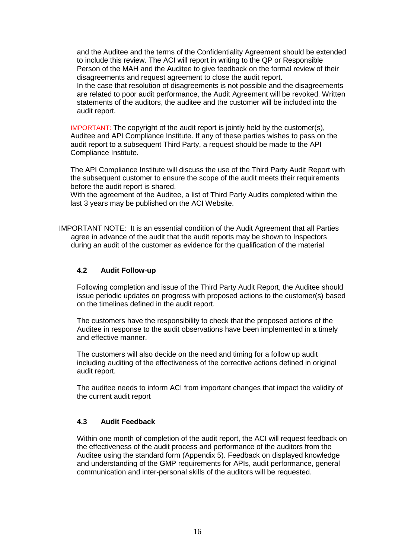and the Auditee and the terms of the Confidentiality Agreement should be extended to include this review. The ACI will report in writing to the QP or Responsible Person of the MAH and the Auditee to give feedback on the formal review of their disagreements and request agreement to close the audit report.

In the case that resolution of disagreements is not possible and the disagreements are related to poor audit performance, the Audit Agreement will be revoked. Written statements of the auditors, the auditee and the customer will be included into the audit report.

IMPORTANT: The copyright of the audit report is jointly held by the customer(s), Auditee and API Compliance Institute. If any of these parties wishes to pass on the audit report to a subsequent Third Party, a request should be made to the API Compliance Institute.

The API Compliance Institute will discuss the use of the Third Party Audit Report with the subsequent customer to ensure the scope of the audit meets their requirements before the audit report is shared.

With the agreement of the Auditee, a list of Third Party Audits completed within the last 3 years may be published on the ACI Website.

IMPORTANT NOTE: It is an essential condition of the Audit Agreement that all Parties agree in advance of the audit that the audit reports may be shown to Inspectors during an audit of the customer as evidence for the qualification of the material

## **4.2 Audit Follow-up**

Following completion and issue of the Third Party Audit Report, the Auditee should issue periodic updates on progress with proposed actions to the customer(s) based on the timelines defined in the audit report.

The customers have the responsibility to check that the proposed actions of the Auditee in response to the audit observations have been implemented in a timely and effective manner.

The customers will also decide on the need and timing for a follow up audit including auditing of the effectiveness of the corrective actions defined in original audit report.

The auditee needs to inform ACI from important changes that impact the validity of the current audit report

## **4.3 Audit Feedback**

Within one month of completion of the audit report, the ACI will request feedback on the effectiveness of the audit process and performance of the auditors from the Auditee using the standard form (Appendix 5). Feedback on displayed knowledge and understanding of the GMP requirements for APIs, audit performance, general communication and inter-personal skills of the auditors will be requested.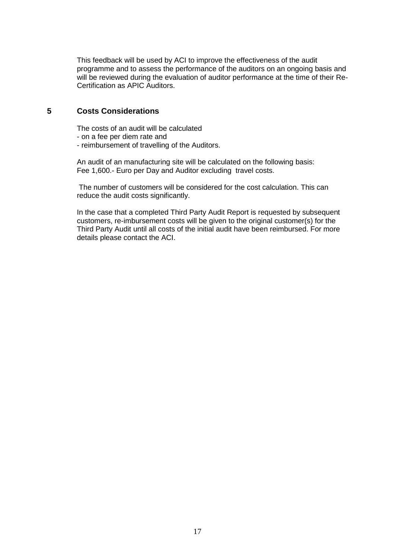This feedback will be used by ACI to improve the effectiveness of the audit programme and to assess the performance of the auditors on an ongoing basis and will be reviewed during the evaluation of auditor performance at the time of their Re-Certification as APIC Auditors.

# **5 Costs Considerations**

The costs of an audit will be calculated

- on a fee per diem rate and
- reimbursement of travelling of the Auditors.

An audit of an manufacturing site will be calculated on the following basis: Fee 1,600.- Euro per Day and Auditor excluding travel costs.

The number of customers will be considered for the cost calculation. This can reduce the audit costs significantly.

In the case that a completed Third Party Audit Report is requested by subsequent customers, re-imbursement costs will be given to the original customer(s) for the Third Party Audit until all costs of the initial audit have been reimbursed. For more details please contact the ACI.